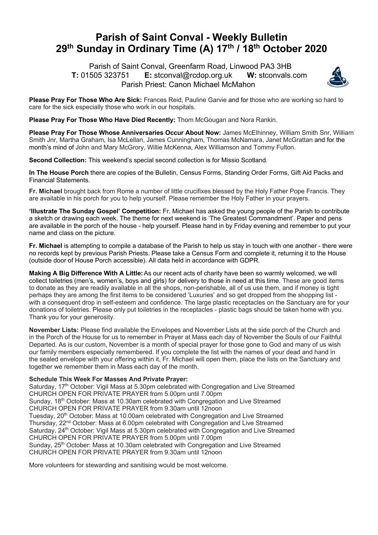## **Parish of Saint Conval - Weekly Bulletin 29th Sunday in Ordinary Time (A) 17th / 18th October 2020**

 Parish of Saint Conval, Greenfarm Road, Linwood PA3 3HB **T:** 01505 323751 **E:** stconval@rcdop.org.uk **W:** stconvals.com Parish Priest: Canon Michael McMahon



**Please Pray For Those Who Are Sick:** Frances Reid, Pauline Garvie and for those who are working so hard to care for the sick especially those who work in our hospitals.

**Please Pray For Those Who Have Died Recently:** Thom McGougan and Nora Rankin.

**Please Pray For Those Whose Anniversaries Occur About Now:** James McElhinney, William Smith Snr, William Smith Jnr, Martha Graham, Isa McLellan, James Cunningham, Thomas McNamara, Janet McGrattan and for the month's mind of John and Mary McGrory, Willie McKenna, Alex Williamson and Tommy Fulton.

**Second Collection:** This weekend's special second collection is for Missio Scotland.

**In The House Porch** there are copies of the Bulletin, Census Forms, Standing Order Forms, Gift Aid Packs and Financial Statements.

**Fr. Michael** brought back from Rome a number of little crucifixes blessed by the Holy Father Pope Francis. They are available in his porch for you to help yourself. Please remember the Holy Father in your prayers.

**'Illustrate The Sunday Gospel' Competition:** Fr. Michael has asked the young people of the Parish to contribute a sketch or drawing each week. The theme for next weekend is 'The Greatest Commandment'. Paper and pens are available in the porch of the house - help yourself. Please hand in by Friday evening and remember to put your name and class on the picture.

**Fr. Michael** is attempting to compile a database of the Parish to help us stay in touch with one another - there were no records kept by previous Parish Priests. Please take a Census Form and complete it, returning it to the House (outside door of House Porch accessible). All data held in accordance with GDPR.

**Making A Big Difference With A Little:**As our recent acts of charity have been so warmly welcomed, we will collect toiletries (men's, women's, boys and girls) for delivery to those in need at this time. These are good items to donate as they are readily available in all the shops, non-perishable, all of us use them, and if money is tight perhaps they are among the first items to be considered 'Luxuries' and so get dropped from the shopping list with a consequent drop in self-esteem and confidence. The large plastic receptacles on the Sanctuary are for your donations of toiletries. Please only put toiletries in the receptacles - plastic bags should be taken home with you. Thank you for your generosity.

**November Lists:** Please find available the Envelopes and November Lists at the side porch of the Church and in the Porch of the House for us to remember in Prayer at Mass each day of November the Souls of our Faithful Departed. As is our custom, November is a month of special prayer for those gone to God and many of us wish our family members especially remembered. If you complete the list with the names of your dead and hand in the sealed envelope with your offering within it, Fr. Michael will open them, place the lists on the Sanctuary and together we remember them in Mass each day of the month.

## **Schedule This Week For Masses And Private Prayer:**

Saturday, 17<sup>th</sup> October: Vigil Mass at 5.30pm celebrated with Congregation and Live Streamed CHURCH OPEN FOR PRIVATE PRAYER from 5.00pm until 7.00pm Sunday, 18<sup>th</sup> October: Mass at 10.30am celebrated with Congregation and Live Streamed CHURCH OPEN FOR PRIVATE PRAYER from 9.30am until 12noon Tuesday, 20<sup>th</sup> October: Mass at 10.00am celebrated with Congregation and Live Streamed Thursday, 22<sup>nd</sup> October: Mass at 6.00pm celebrated with Congregation and Live Streamed Saturday, 24<sup>th</sup> October: Vigil Mass at 5.30pm celebrated with Congregation and Live Streamed CHURCH OPEN FOR PRIVATE PRAYER from 5.00pm until 7.00pm Sunday, 25<sup>th</sup> October: Mass at 10.30am celebrated with Congregation and Live Streamed CHURCH OPEN FOR PRIVATE PRAYER from 9.30am until 12noon

More volunteers for stewarding and sanitising would be most welcome.